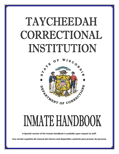# TAYCHEEDAH CORRECTIONAL INSTITUTION



# INMATE HANDBOOK

**A Spanish version of the Inmate Handbook is available upon request to staff.**

**Una versión española del manual del interno está disponible a petición para proveer de personal.**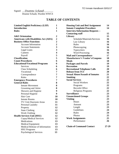Signed: \_\_*Deanne Schaub*\_\_\_\_\_\_\_\_ Deanne Schaub, Warden WWCS

## **TABLE OF CONTENTS**

| <b>Limited English Proficiency (LEP)</b>     | 1                       |
|----------------------------------------------|-------------------------|
| <b>Introduction</b>                          | 1                       |
| <b>Rules</b>                                 | 1                       |
|                                              |                         |
| <b>A&amp;E</b> Orientation                   | 2                       |
| <b>Americans with Disabilities Act (ADA)</b> | $\overline{\mathbf{c}}$ |
| <b>Business Office Functions</b>             | $\overline{\mathbf{c}}$ |
| <b>Account Information</b>                   | $\overline{\mathbf{2}}$ |
| <b>Account Statements</b>                    | $\overline{\mathbf{3}}$ |
| Legal Loans                                  | $\overline{\mathbf{3}}$ |
| Canteen                                      | $\overline{\mathbf{4}}$ |
| Payroll                                      | 5                       |
| <b>Classification</b>                        | 5                       |
| <b>Count Procedures</b>                      | 6                       |
| <b>Educational/Vocational Programs</b>       | 6                       |
| <b>Services</b>                              | 6                       |
| <b>Class Scheduling</b>                      | 6                       |
| Vocational                                   | 7                       |
| Correspondence                               | 7                       |
| Rules                                        | 7                       |
| <b>Emergency Procedures</b>                  | 7                       |
| <b>General Rules</b>                         | 8                       |
| <b>Inmate Movement</b>                       | 8                       |
| Grooming and Attire                          | 8                       |
| Showers and Hygiene                          | 9                       |
| Personal Hygiene                             | 9                       |
| Hair Care                                    | 10                      |
| <b>Inmate Rooms</b>                          | 10                      |
| TV/Unit Dayroom Areas                        | 11                      |
| Personal Laundry                             | 11                      |
| Property                                     | 12                      |
| <b>State Clothing</b>                        | 12                      |
| <b>Work Clothing</b>                         | 12                      |
| <b>Health Services Unit (HSU)</b>            | 12                      |
| Copay/Medical Services                       | 12                      |
| <b>Medications</b>                           | 13                      |
| <b>Medical Equipment</b>                     | 13                      |
| <b>Medical Release of Information</b>        | 13                      |
| <b>HSU Programs</b>                          | 13                      |
| <b>Psychological Services</b>                | 13                      |
|                                              |                         |

| <b>Housing Unit and Bed Assignment</b>                              | 14    |
|---------------------------------------------------------------------|-------|
| <b>Inmate Complaint Procedure</b>                                   | 14    |
| <b>Interview/Information Requests --</b><br><b>Contacting staff</b> | 15    |
| <b>Library</b>                                                      | 15    |
| Schedule/Materials/Services                                         | 16    |
| Law Library                                                         | 16    |
| Rules                                                               | 16    |
| Photocopying                                                        | 16    |
| Typewriters                                                         | 16    |
| <b>Word Processing</b>                                              | 16    |
| <b>Mail and Correspondence</b>                                      | 17    |
| <b>Manufacturer's Vendor's/Coupons</b>                              | 18    |
| <b>Meals</b>                                                        | 18    |
| <b>Packages and Parcels</b>                                         | 19    |
| <b>Recreation</b>                                                   | 19    |
| <b>Recreational Telephone Calls</b>                                 | 20    |
| <b>Release from TCI</b>                                             | 20    |
| <b>Sexual Abuse/Assault of Inmates</b>                              | 21    |
| <b>Smoking</b>                                                      | 22    |
| <b>Social Services</b>                                              | 22    |
| <b>Social Workers</b>                                               | 22    |
| Programs                                                            | 22    |
| <b>Records Office</b>                                               | 22    |
| Religious Programs                                                  | 22    |
| <b>Surveillance</b>                                                 | 23    |
| <b>Unsanctioned Groups</b>                                          | 23    |
| <b>Visiting</b>                                                     | 23    |
| Hours                                                               | 23    |
| Amount                                                              | 23    |
| Length                                                              | 23    |
| Guidelines                                                          | 24    |
| Rules                                                               | 24    |
| Photos                                                              | 25    |
| <b>Work Assignments</b>                                             | 25    |
| Performance                                                         | 26    |
| <b>Chain of Command Contact</b>                                     | 27-29 |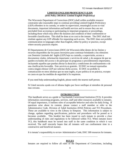## **LIMITED ENGLISH PROFICIENCY (LEP)** *(DAI Policy 300.00.61 Limited English Proficiency)*

The Wisconsin Department of Corrections (DOC) shall within available resource constraints take reasonable steps to continue providing Limited English Proficiency (LEP) offenders in its custody, or under its supervision, meaningful access to vital documents, important information and health services and to ensure they are not precluded from accessing or participating in important programs or proceedings, including those which may affect the duration and condition of their confinement or favorable classification. This shall be done at no cost to the inmate. The DOC shall not retaliate against any LEP offender for requesting such access. The DOC does not prohibit communication in languages other than English, either by policy or practice, except where security practices require.

El Departamento de Correcciones (DOC) de Wisconsin debe dentro de los límites y recursos disponibles dar los pasos necesarios para continuar brindando a los ofensores con Dominio Limitado del Inglés (LEP) bajo su custodia, o supervisión, acceso a documentos vitales, información importante y servicios de salud, y de asegurar de que no queden excluidos del acceso o de participar en programas o procedimientos importantes, incluyendo aquellos que puedan afectar la duración y condiciones de confinamiento o de una clasificación favorable. Este servicio es gratuito. El DOC no tomará represalias contra ningún ofensor LEP por solicitar dicho acceso. El DOC no prohíbe la comunicación en otros idiomas que no sean inglés, ni por política ni en práctica, excepto en casos en que las medidas de seguridad sí lo requieran.

If you need help understanding English, please notify the nearest staff person.

Si Usted necesita ayuda con el idioma Ingles por favor notifique al miembro de personal mas cercano.

**~~~~~~~~~~~~~~~~~~~~~~~~~~~~~~~~~~~~~~~~~~~~~~~~~~~~~~~~~~~~~~~~~~**

#### **INTRODUCTION**

This handbook serves as a guide to Taycheedah Correctional Institution (TCI). It provides information concerning programs, services, staff and other resources available to inmates. Of equal importance, it outlines rules of acceptable behavior and rules for daily living. If questions arise about its content, please contact a staff member or refer to the Administrative Code, Division of Adult Institution (DAI) Policies and TCI Procedures. These are available to view in the Library in Simpson. This information is subject to change, updates regarding specifications, policies and procedures will be posted as it becomes available. This booklet has been issued to each inmate to provide a clear understanding of rules and regulations to be followed within TCI. When inmates leave TCI, this handbook must be turned into staff in the same condition in which it was received. The staff sincerely hopes that all inmates will use confinement time in a constructive and beneficial manner.

It is inmate's responsibility to review Administrative Code, DOC 309 resources for inmates.

~~~~~~~~~~~~~~~~~~~~~~~~~~~~~~~~~~~~~~~~~~~~~~~~~~~~~~~~~~~~~~~~~~

#### **RULES**

Inmates are required to follow all rules of the Department of Corrections, including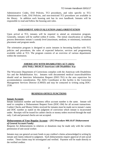Administrative Codes, DAI Policies, TCI procedures, and rules specific to TCI. Administrative Code, DAI Policies, and non-restricted TCI procedures are available in the library. In addition each housing unit has its own handbook. Inmates will be responsible to read and follow the housing unit rules.

#### ~~~~~~~~~~~~~~~~~~~~~~~~~~~~~~~~~~~~~~~~~~~~~~~~~~~~~~~~~~~~~~~~~~

#### **ASSESSMENT AND EVALUATION (A&E) ORIENTATION**

Upon arrival at TCI, inmates will be required to attend an orientation program. Generally, inmates will be staffed within 8 weeks. The initial classification or staffing process determines inmate's custody level (maximum, medium, or minimum), institution placement and program needs.

The orientation program is designed to assist inmates in becoming familiar with TCI, policies and procedures, the rules of expected behavior, services and programming available while at TCI. The program consists of an overview of various departments within the institution.

~~~~~~~~~~~~~~~~~~~~~~~~~~~~~~~~~~~~~~~~~~~~~~~~~~~~~~~~~~~~~~~~~~

#### **AMERICANS WITH DISABILITIES ACT (ADA)** *(DAI Policy 300.00.35 Americans with Disabilities Act)*

The Wisconsin Department of Corrections complies with the American with Disabilities Act and the Rehabilitation Act. Inmates with documented *medical issues/disabilities* should send an Interview Information Request (DOC-761) to the area supervisor for accommodation consideration. The ADA Coordinator at this facility is the Correction Management Services Director (CMSD) and may be contacted in writing using DOC-2530.

~~~~~~~~~~~~~~~~~~~~~~~~~~~~~~~~~~~~~~~~~~~~~~~~~~~~~~~~~~~~~~~~~~

#### **BUSINESS OFFICE FUNCTIONS**

#### **Inmate Accounts**

Inmate institution number and business office account number is the same. Inmate will need to complete a Disbursement Request Form (DOC-184) for all account transactions. Cashier Checks and Money Orders received for inmates must be made out to inmate's name and DOC number as stated on the judgment of conviction which inmate is incarcerated under. Receipts will be issued for cashier checks or money orders received through the mail only. Cash and personal checks are not accepted.

#### **Disbursements of Your Regular Account – (***TCI Procedure 900.10.07 Disbursement of General Account Funds)*

Requests for disbursements to relatives or donations may be made only with the written permission of unit social worker.

Inmates may use general account funds to pay creditor's claims acknowledged in writing by inmate and claims reduced to judgment. Such disbursements require approval of unit social worker. These claims may be investigated and verified. Payment will be made directly to the verified creditor.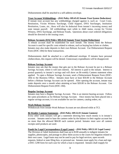Disbursements shall be attached to a self-address envelope.

**Trust Account Withholdings –** *(DAI Policy 309.45.02 Inmate Trust System Deductions)* If inmate trust account has any withholdings charged against it, such as: Court Costs, Restitution, Victim Witness Surcharge, Child Support, DNA Surcharges, Institution Restitution, Loans, etc., these will also be deducted from inmate's incoming money and state inmate payroll. All withholdings start while in A&E status, except for Victim Witness, DNA Surcharge, and Release Funds**.** Questions about court ordered obligations should be directed to the issuing court.

#### **Release Accounts (DAI Policy 309.45.02 Inmate Trust System Deductions)**

A release account shall be established for each inmate. The money from the Release Account is used for specific costs related to release, such as buying bus tickets or clothes. Inmates may also make deposits to their own Release Account. Use Disbursement Request Form (DOC-184) for these transactions.

Disbursements shall be attached to a self-addressed envelope. If inmates have personal clothes/shoes, this request will be denied. Unnecessary expenditures will be disapproved.

#### **Release Savings Account**

Inmates may ask that the money that gets put in the Release Account be put in a Release Savings Account, where it will earn interest. All interest is paid to the inmate. Interest is posted quarterly to inmate's savings and will show on Bi-weekly Canteen statement when applied. To open a Release Savings Account, send a Disbursement Request Form (DOC-184) to the Business Office. Inmates must have at least \$50.00 in the Release Account before a Release Savings Account can be opened. After opening the account, inmate may make deposits once a month when attaining at least \$20.00 in the Release Account. Use Disbursement Request Form (DOC-184).

#### **Regular Savings Account**

Inmates may have a Regular Savings Account. This is an interest bearing account. Follow the same procedures as for Release Savings Account. Once money has been placed into a regular savings account, it is not available for use for canteen, catalog orders, etc.

#### **Work Release Account**

Withdrawals from inmate Work Release Account are not allowed while at TCI.

#### **Bi-Weekly Canteen Statements -** *(DAI Policy 309.52.01 Inmate Canteen)*

Every other week inmates will get a statement showing how much money is in inmate's account. Inmates need to base the canteen order by the balance in their regular account but no more than the allowed \$84.00 each canteen period. Inmates must save all canteen receipts until products are used.

#### **Funds for Legal Correspondence (Legal Loans) –** *(DAI Policy 309.51.01 Legal Loans)*

The Division of Adult Institutions shall loan up to \$100 annually to indigent inmates for supplies, photocopies, and postage to allow them access to the courts for litigation related to their own cases. Legal loans may not be used to pay for legal services, open records requests, federal or state filing fees, or personal use. Inmates must apply for a loan and sign a DOC-1290 form for each case for which a loan is requested. Inmates shall reapply for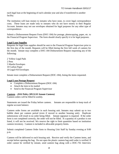each legal loan at the beginning of each calendar year and also if transferred to another facility.

The institution will loan money to inmates who have none, to cover legal correspondence costs. These loans are made only to inmates who do not have money in their Regular Account. Inmates may not use envelopes obtained for legal purposes for any other type of correspondence.

Submit a Disbursement Request Form (DOC-184) for postage, photocopying, paper, etc. to the Financial Program Supervisor. The form should clearly specify it is for legal purposes.

#### **Legal Loan Supplies**

Requests for legal loan supplies should be sent to the Financial Program Supervisor prior to the first day of the month. Requests will be filled during the first full week of canteen for the month. Inmate may complete a DOC-184 Disbursement Request requesting any of the following:

2 Yellow Legal Pads 2 Pens 5 Manila Envelopes 10 Carbon Paper 10 Legal #10 Envelopes

Inmate must complete a Disbursement Request (DOC-184), listing the items requested.

#### **Legal Loan Postage Request**

- Complete a Disbursement Request (DOC-184)
- Attach the item to be mailed
- Send to the Financial Program Supervisor

#### **Canteen** – *(DAI Policy 309.52.01 Inmate Canteen)*

Canteen orders will be filled bi-weekly.

Statements are issued the Friday before canteen. Inmates are responsible to keep track of regular account balance.

Canteen order forms are available in each housing unit. Inmates may submit up to two bubble sheet per canteen period (even if moved to another housing unit). Duplicate submissions will result in no order being filled. Inmate signature is required. If the order form is not completed correctly, the order will not be filled. If a quantity of a product is not listed, it will not be received. We reserve the right to limit quantities based on institution canteen inventory. Canteen is included in allowable property limits.

Submit completed Canteen Order form to Housing Unit Staff by Sunday evening at 9:00 p.m.

Canteen will be delivered to each housing unit. Receive and verify the Canteen items, and receipt before opening the bag. Do not open the plastic canteen bag until order is verified. If order cannot be verified by inmate, send canteen bag along with a DOC-761 Interview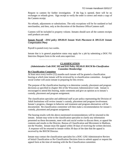Request to canteen for further investigation. If the bag is opened, there will be no exchanges or refunds given. Sign receipt to verify the order is correct and retain a copy of the Canteen receipt.

No refunds, adjustments or substitutions. The only exceptions will be for outdated or bad merchandise, and then, only at the discretion of the Business Office/Canteen staff.

Canteen will be included in property volume. Inmates should save all the canteen receipts until products are used.

#### **Inmate Payroll -** *(DAI policy 309.00.01 Inmate Work Placement & 309.55.01 Inmate Compensation Plan)*

Payroll is posted every two weeks.

Inmate that is in general population status may apply for a job by submitting a DOC-761 Interview Request form to the work area supervisor.

~~~~~~~~~~~~~~~~~~~~~~~~~~~~~~~~~~~~~~~~~~~~~~~~~~~~~~~~~~~~~~~~~~

#### **CLASSIFICATION**

#### *(Administrative Code DOC 302 and DAI Policy 302.00.01 BOCM Re-Classification Committee Membership)*

#### **Re-Classification Committee**

At least once every twelve (12) months each inmate will be granted a classification hearing at which time inmate will be reviewed by re-classification committee. Assigned social worker will assist inmate in preparing for this review.

The purpose of the classification hearing is to determine custody, placement and program decisions as specified in chapter 302 of the Wisconsin Administrative Code. Inmate is encouraged to attend this hearing, make comments and give an opinion as to inmate's custody, placement and program assignment.

The classification specialist and additional staff as per policy representing the Division of Adult Institutions will review inmate's custody, placement and program involvement. Inmate's progress, changes in behavior and treatment and program alternatives will be documented. Re-classification committee will then make a recommendation for inmate's custody, placement and program assignment.

The hearing results with the above-mentioned recommendations will be returned to the inmate. Inmate may write to the classification specialist to clarify any information presented on these documents, meet with unit social worker to discuss them, or appeal the contents and results to the Director, Bureau of Classification and Movement in Madison, not the Warden. Inmate must file appeal within 30 days of receiving the written decision. A response will be returned to inmate within 30 days of the date that the appeal is received by the BOCM Director.

Inmate may contact the classification specialist for a DOC-1292 Administrative Review of Initial Classification or Re-Classification Decision form to submit appeal or request the appeal form at the time of meeting with the Re-Classification committee.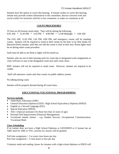Inmates have the option to waive this hearing. If inmate wishes to waive this hearing, inmate may provide written information to the committee, discuss concerns with unit social worker for inclusion with his or her comments, or make no comments at all.

~~~~~~~~~~~~~~~~~~~~~~~~~~~~~~~~~~~~~~~~~~~~~~~~~~~~~~~~~~~~~~~~~~

#### **COUNT PROCEDURES**

TCI has six (6) formal counts daily. They will be during the following: 6:05 AM \* 12:45 PM \* 5:45 PM \* 9:00 PM \* 12:00 Midnight \* 3:00 AM

The 6:05 AM, 12:45 PM, 5:45 PM, 9:00 PM, and emergency counts will be standing counts. Inmates will be required to stand in their rooms by the door or by their bunks for Barracks/Dorm inmates, until they are told the count is clear in their area. Room lights must be on during entire count procedure.

Staff must be able to see flesh or lights will be turned on.

Inmates who are not in their housing units for count due to designated work assignments or visits will have to stay in the designated count area until count clears.

RHU inmates will not be required to stand count. However, inmates are required to be visible.

Staff will announce counts and clear counts via public address system.

No talking during count.

Inmates will be properly dressed during all count times.

~~~~~~~~~~~~~~~~~~~~~~~~~~~~~~~~~~~~~~~~~~~~~~~~~~~~~~~~~~~~~~~~~~

#### **EDUCATIONAL/VOCATIONAL PROGRAMMING**

#### **Services include:**

- Adult Basic Education (ABE)
- General Education Diploma (GED) / High School Equivalency Diploma (HSED)
- English as a Second Language (ESL)
- Special Education (SPED)
- Title 1 (Special assistance for those less than 22 years of age)
- Personal Self-Improvement (Financial Management)
- Vocational related classes e.g. Student Success, Occupational Communication, Vocational Math

#### **Class Scheduling**

If an inmate does not have a High School Diploma or GED/HSED or if inmate has an A&E need for ABE or VOC, priority for classes will be granted.

Full time assignment  $=$  3 or more class hours per day Part time assignment  $= 2$  class hours or less per day

Voluntary math and reading classes for inmates with a high school diploma or HSED will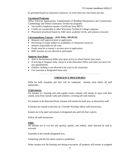be permitted based on institution resources; no more than two class hours per day.

## **Vocational Programs**

Office Software Applications, Fundamentals of Building Maintenance and Construction, Cosmetology and Dental Laboratory Technician programs

- Successful completion equals a Certificate from MPTC
- Credits are transferable to other Wisconsin Technical College campuses
- Placement prioritized based on A&E need, academic levels, and sentence structure

## **Correspondence Courses** *– (DAI Policy 300.00.26)*

- Requires staff approval prior to application.
- Proctoring of exams subject to availability of institution resources.
- Inmates responsible for all costs.
- Funds must be in inmate's account prior to application.
- RHU inmates are not allowed to participate.

## **Simpson Area Rules**

- Wait in the breezeway/lobby area upon arrival at school before class starts.
- If arriving at Simpson tardy, check in at the Education Office and when you leave for any appointments
- Outdoor clothing is not allowed to be worn in the classroom.
- Use restroom at designated times only.

~~~~~~~~~~~~~~~~~~~~~~~~~~~~~~~~~~~~~~~~~~~~~~~~~~~~~~~~~~~~~~~~~~

## **EMERGENCY PROCEDURES**

Drills for both tornadoes and fires will be conducted. Inmates must follow all staff instructions.

## **TORNADOS:**

For inmates in a housing unit with regular rooms, inmates will remain in room with door closed, away from outside walls and windows, covering self with mattress.

For inmates in the Barracks/Dorm, inmates will remain by bunk area, as directed by staff.

If inmates are outside at the time of a Tornado Warning, follow staff instructions.

Inmates are to be quiet and remain in designated area until all clear is given.

Follow all staff instructions.

## **FIRE:**

All inmates are to exit the unit quickly, quietly, and orderly, when directed by staff to evacuate.

Assemble in the outside-designated area.

Tampering with the fire alarm system is prohibited.

When inmates exit the housing unit during evacuation, all property will remain in assigned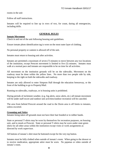rooms in the unit

Follow all staff instructions.

Inmates will be required to line up in rows of two, for count, during all emergencies, including drills.

~~~~~~~~~~~~~~~~~~~~~~~~~~~~~~~~~~~~~~~~~~~~~~~~~~~~~~~~~~~~~~~~~~

## **GENERAL RULES**

#### **Inmate Movement**

Check in and out of the unit following housing unit guidelines.

Ensure inmate photo identification tag is worn on the most outer layer of clothing.

No personal property or canteen is allowed off of the unit.

Inmates must return to housing unit after activities.

Inmates are permitted a maximum of seven (7) minutes to move between any two locations of the institution, except Prescott movement is limited to five (5) minutes. Inmates must walk at a normal pace and inmates are responsible to be on time for all activities.

All movement on the institution grounds will be on the sidewalks. Movement on the roadway must be done within the yellow lines. No more than two people side by side, keeping to the right on both the sidewalks and roadway.

Inmates are only allowed to enter Simpson Hall through the education breezeway, or the front of the building to go to Property/Mail.

Running on sidewalks, roadways, or in housing units is prohibited.

During periods of inclement weather, (e.g. fog alerts, snow alerts, etc.) all inmate movement will be under staff escort and outdoor unit activities/outdoor recreation will be canceled.

The area from behind Prescott around the road to the Dorm area is off limits to inmates, unless escorted.

## **Grooming and Attire**

Inmates being taken off grounds must not have their hair braided or in rubber bands.

State or personal T-shirts may be worn by themselves for recreation purposes, on housing unit, and to meals at Prescott. State or personal T-shirts may be worn under state green shirts for all other areas within the institution except visits or work assignments as directed by work supervisor.

All buttons of inmate's shirt must be buttoned except for the very top button.

Inmates must be fully clothed when outside of inmate's room. When going to the shower or to receive medication, appropriate attire must be worn. No pajamas or robes outside of inmate's room.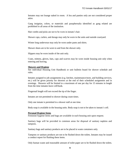Inmates may not lounge naked in room. A bra and panties only are not considered proper attire.

Gang insignias, colors, or materials and paraphernalia identified as gang related are prohibited in all areas of the institution.

Hair combs and picks are not to be worn in inmate's hair.

Shower caps, curlers, and durags may only be worn in the units and outside courtyard.

Winter long underwear may only be worn under pants and shirts.

Shower shoes are to be worn to and from the shower only.

Slippers may be worn inside of the unit only.

Coats, mittens, gloves, hats, caps and scarves may be worn inside housing unit only when entering and leaving.

#### **Showers and Hygiene**

See individual Housing Unit Handbook or unit bulletin board for shower schedule and rules.

Inmates assigned to job assignments (e.g. kitchen, maintenance/store, and building services, etc.) will be given priority for showers at the end of their scheduled assignment and in evenings. Showers will be limited to a maximum of one per day for 15 minutes in length from the time inmates leave cell/bunk.

Fingernail length will not exceed the tip of the finger.

Inmates are not permitted to shower during count times.

Only one inmate is permitted in a shower stall at one time.

Body soap is available in the housing units. Body soap is not to be taken to inmate's cell.

#### **Personal Hygiene Items**

Feminine hygiene items and bags are available in each housing unit upon request.

Sanitary bags will be provided in common areas for disposal of sanitary napkins and tampons.

Sanitary bags and sanitary products are to be placed in waste containers only.

Tampons or sanitary products are not to be flushed down the toilets. Inmates may be issued a conduct report for flushing these items.

Only human waste and reasonable amount of toilet paper are to be flushed down the toilets.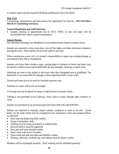A conduct report may be issued for flushing anything else down the toilets.

#### **Hair Care**

Cosmetology appointments provide inmates the opportunity for haircuts. *(TCI Procedure 900.30.15 Cosmetology Services).*

#### **General Population and A&E Haircuts:**

• Inmates missing an appointment due to OCO, OWO, or sick cell status will be rescheduled after return to general population.

#### **Inmate Rooms**

See individual Housing Unit Handbook or unit bulletin board related to inmate rooms.

Inmates are required to close room door, turn off the lights and other electronics whenever leaving the room. Door latches are not to be taped at any time.

When moving into a new cell, it is inmate's responsibility to report any existing damage or contraband to the officer immediately.

Inmates who leave their windows open, causing pipes or radiators to freeze and burst, may be issued a conduct report and be held liable for any damages, cleaning, or repair costs.

Attaching any item to any surface in the room other than designated area is prohibited. The Institution is not responsible for damage to items taped/attached to room walls.

Towels and linens are to be used for intended purposes only.

Furniture in rooms will not be re-arranged.

Coverings may not be placed on lamps or light fixtures in inmate rooms.

Talking is not permitted across hallways, from room to room, through open windows or vents.

Inmates are permitted to use personal typewriter from 9:00 AM until 9:00 PM.

Inmates are expected to maintain proper sanitary conditions in room at all time. Listed below are the tasks which must be completed to the satisfaction of the unit sergeant/officer as indicated:

- Dust mop and damp mop floor weekly.
- Empty wastebaskets daily.
- Clothing must be hung up properly or folded neatly.
- Drawers/shelves must be organized.
- Door jam and vents cleaned weekly.
- Wash room walls every 3 months.
- Clean toilet and sink area daily and disinfect weekly.
- Desktop, table top, wardrobe top, and radiator must be dusted weekly.

Blankets will be exchanged quarterly. Wall washing will be scheduled quarterly.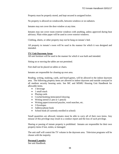Property must be properly stored, and kept secured in assigned locker.

No property is allowed on windowsills, between windows or on radiators.

Inmates may not cover the door window at any time.

Inmates may not cover room exterior windows with anything, unless approved during heat advisory. Plain white paper will be used to cover exterior windows.

Clothing, sheets, or other property may not be hung on inmate's bed.

All property in inmate's room will be used in the manner for which it was designed and intended.

#### **TV/ Unit Dayroom Areas**

All unit furniture will be used in the manner for which it was built and intended.

Sitting on or moving the tables are not permitted.

Feet shall not be placed on tables or chairs.

Inmates are responsible for cleaning up own area.

Reading, writing, studying, cards, and board games, will be allowed in the indoor dayroom area. The following property items are allowed in indoor dayroom and outside courtyard in all medium security housing units. See MC and MSMU Housing Unit Handbook for allowable items.

- 1 beverage
- 1 small snack
- Playing cards
- Crochet/knitting items/pencil drawing
- Writing utensil (1 pen or 1 pencil)
- Writing paper/crossword puzzles, word searches, etc.
- 3 Envelopes
- Address/phone book
- School book (if currently enrolled in school)

Small quantities are allowed, inmates must be able to carry all of their own items. Any misuse of this privilege may result in a conduct report and the loss of such privilege.

Sharing or passing of inmate property is prohibited. Inmates are responsible for their own property items if lost, stolen, or damaged.

The unit staff will control the TV volume in the dayroom area. Television programs will be chosen with the majority.

#### **Personal Laundry**

See unit Handbook.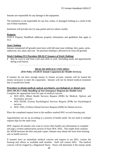Inmates are responsible for any damage to the equipment.

The institution is not responsible for any lost, stolen, or damaged clothing as a result of the use of these machines.

Institution will provide one (1) soap packet and two tokens weekly.

#### **Property**

WWCS Property Handbook addresses property information and guidelines that apply at TCI.

#### **State Clothing**

Inmates transported off grounds must leave with full state issue clothing: shirt, pants, socks, underwear, bra, shoes and coat. No personal clothing is allowed to be worn off grounds.

#### **Work Clothing** *(TCI Procedure 900.20.37 Issuance of Work Clothing)*

 May be worn to and from work and while at work. (Including meals and appointments during work hours).

~~~~~~~~~~~~~~~~~~~~~~~~~~~~~~~~~~~~~~~~~~~~~~~~~~~~~~~~~~~~~~~~~~

#### **HEALTH SERVICE UNIT (HSU)**

#### *(DAI Policy 316.00.01 Inmate Copayment for Health Services).*

If inmates do not have enough money in inmate account, inmates will be loaned the money necessary to meet the copayment. Inmates will not be denied medical treatment due to insufficient funds.

## **Procedure to obtain medical, optical, psychiatric, psychological, or dental care:** *(DAI 500.30.11 Daily Handling of Non-Emergency Requests for Health Care)*

Complete the appropriate form for type of medical concern:

- DOC-3035, (Blue) Health Services Request (HSR) for Medical, Optical, and Psychiatric services
- DOC-3035B, (Green) Psychological Services Request (PSR) for Psychological services
- DOC-3392, (Yellow) Dental Services Request (DSR) for Dental services

Place the completed request form in the mailbox marked HSU on each housing unit.

Appointments are set up according to a priority of health needs. Do not send in multiple request slips for the same issue.

DOC requires all inmates who want to review their health care information to complete and sign a written authorization section of form DOC-3035. This triplet form contains the 3035R between the blue and pink copies. Inmates may obtain the form from housing unit or health services.

If inmates have an immediate medical concern and request to see HSU, contact the housing unit officer or available staff member. Staff will contact HSU. The medical concern will be triaged by a Registered Nurse. Nurse will determine if the inmate needs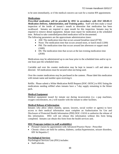to be seen immediately, or if the medical concern can wait for a routine RN appointment.

#### **Medications**

*Prescribed medication will be provided by HSU in accordance with DAI 500.80.11 Medication Delivery, Administration, and Training policy.* Staff will then make a visual inspection of the inside of inmate's mouth to determine that medication has been swallowed. Inmates are required to open mouth for this inspection. Inmates may be required to remove dental equipment. Inmate must report for medication at the scheduled time. Refusal to take controlled/prescribed medication will be documented. The following parameters are the approximate administration times:

- AM: The medication time that occurs around breakfast meal (0730)
- Noon: The medication time that occurs around noon, or lunch meal (1200)
- PM: The medication time that occurs around late afternoon or supper meal (1600)
- HS: The medication time that occurs at the last evening medication time (2030)

Medications may be administered up to one hour prior to the scheduled time and/or up to one hour past the scheduled time.

Carriable and over the counter medication may be kept in inmate's cell and taken as directed. All medications must be secured when not being used.

Over the counter medications may be purchased in the canteen. Please label this medication with inmate name and number upon receiving it.

Refills: Please submit a White Medication Refill Request (DOC-3035C) to HSU listing the medications needing refilled when inmates have a 7-day supply remaining in the blister pack.

#### **Medical Equipment**

Medical equipment issued for inmate use during incarceration (i.e. c-pap machines, oxygen concentrators, etc.) will transfer with the inmate to other facilities.

#### **Medical Release of Information**

Inmates who allow others (family, spouse, lawyers, social worker or agents) to have access to their medical information must complete an Authorization for Use and Disclosure of Protected Health Information (PHI) DOC-1163A to authorize the release of this information. HSU will not release this information without this form being completed. Inmates can obtain this form from the health services unit.

## **HSU Programs (subject to staff availability)**

- Prenatal Classes by appointment with Advanced Practice Nurse Prescriber
- Chronic clinics are held for asthma, diabetes, cardiac/hypertension, seizure disorders, HIV & Hepatitis C

#### **Psychological Services**

Psychological Services Unit (PSU) includes:

• Staff referrals.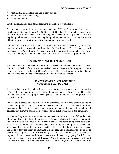- Routine clinical monitoring and/or therapy sessions
- Individual or group counseling.
- Crisis Intervention

Psychological services staff do not determine medication or room changes.

Inmates may request these services by contacting PSU staff by submitting a green Psychological Services Request (PSR) (DOC-3035B). Place the completed request form in the mailbox marked HSU on the housing unit. There is no copayment charge for psychological services. To review psychological services record, complete the DOC-3035 to request a file review or request photocopies from this record.

If inmates have an immediate mental health concern and request to see PSU, contact the housing unit officer or available staff member. Staff will contact PSU. The concern will be triaged by a Psychological Associate, who will determine if the inmate needs to be seen immediately, or if the inmate can wait for a routine psychological appointment.

~~~~~~~~~~~~~~~~~~~~~~~~~~~~~~~~~~~~~~~~~~~~~~~~~~~~~~~~~~~~~~~~~~

#### **HOUSING UNIT AND BED ASSIGNMENT**

Housing unit and bed assignments will be based on sentence structure, security classification, bed availability, and the needs of the institution. Any housing unit concerns should be addressed to the Unit Officer/Sergeant. The institution manages its cells and inmates in the best interest of the institution and population as a whole.

~~~~~~~~~~~~~~~~~~~~~~~~~~~~~~~~~~~~~~~~~~~~~~~~~~~~~~~~~~~~~~~~~~

#### **INMATE COMPLAINT PROCEDURE** *(Administrative Code DOC 310***)**

The complaint procedure gives inmates in an adult institution a process by which significant issues may be raised, investigated, and decided. Per Admin. Code DOC 310, inmates need to contact appropriate staff prior to filing a complaint to attempt to resolve issues informally.

Inmates are expected to follow the chain of command. If an inmate chooses to file an Inmate Complaint, it must be done in accordance with the established time limits pursuant to DOC 310.11(5) (d), which requires the complaint to be filed within 14 calendar days from the date of the occurrence of the event giving rise to the complaint.

Inmates sending Information/Interview Requests (DOC-761) to staff must follow the chain of command (refer to Chain of Command for Problem Solving at the back of this book). Inmates must start at the lowest level related to the problem before going to the next level. After waiting 10 working days for a response or resolution, inmate may contact the next and subsequent level as needed, informing staff of the steps already taken and the results. Failing to follow this Chain of Command, sending requests to multiple staff, or failing to wait 10 working days will only cause delays because staff have been told to return the request if inmates have not followed these steps. Inmates may "jump levels" or ask someone else sooner only for a valid reason. When doing so, explain reason for doing it and what has been said or done so far by staff. After waiting for staff response and/or no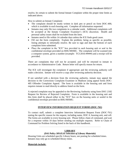resolve, be certain to submit the formal Inmate Complaint within the proper time limits as indicated above.

How to submit an Inmate Complaint:

- The complaint should be neatly written in dark pen or pencil on form DOC-400, which is available in each housing unit. Complete all information requested.
- Inmates may only file two complaints in a calendar week. Additional complaints will be accepted at the Inmate Complaint Examiner's (ICE) discretion. Health and personal safety issues shall be excluded from the limit.
- Inmates need to file within 14 calendar days unless the ICE finds good cause.
- Fill out the form completely. Explain the problem, being as specific as possible, listing attempts to informally resolve. Be sure to sign and date the bottom of each complaint form submitted.
- Place the complaint in the "ICE" box provided in each housing unit or seal in the confidential envelope provided on RHU/MSMU. The complaint will be scanned into a computer system, given a number (example: TCI-2016-#####) and a receipt will be provided.

There are complaints that will not be accepted, and will be returned to inmate in accordance to Administrative Code. Return letter will specify reason for return.

The ICE will investigate the complaint if appropriate and the reviewing authority will make a decision. Inmate will receive a copy after reviewing authority decision.

If not satisfied with a decision from the reviewing authority, inmate may appeal the decision to the Corrections Complaint Examiner in Madison using appeal forms DOC-405 Offender Complaint Appeal. The form is available in the housing unit and form requires inmate to mail directly to address listed on the form.

A rejected complaint may be appealed to the Reviewing Authority using form DOC-2182 Request for Review of Rejected Complaint. Form is available in the housing unit and this form shall be placed either in the "ICE" box on the housing units or sealed in the confidential envelope provided on RHU/MSMU.

~~~~~~~~~~~~~~~~~~~~~~~~~~~~~~~~~~~~~~~~~~~~~~~~~~~~~~~~~~~~~~~~~~

## **INTERVIEW INFORMATION REQUEST FORMS (DOC-761)**

To contact staff, submit a complete Interview Information Request Form (DOC-761) stating the specific reason for the request, including name, DOC #, housing unit, and cell. The forms are available in every housing unit. Please follow chain of command, and wait for a response within 10 days before sending out multiple requests. Refer to Chain of Command for Problem Solving listed in the back of this handbook.

~~~~~~~~~~~~~~~~~~~~~~~~~~~~~~~~~~~~~~~~~~~~~~~~~~~~~~~~~~~~~~~~~~

## **LIBRARY**

## *(DAI Policy 309.05.01 Selection of Library Materials)*

Housing Units are scheduled specific Library hours, see posting for scheduled times. Inmates may only go to scheduled library times.

## **Materials include:**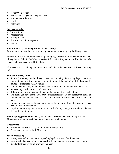- Fiction/Non-Fiction
- Newspapers/Magazines/Telephone Books
- Employment/Educational
- Legal
- Reference

#### **Services include:**

- Typewriters
- Photocopying
- Word processor
- Electronic law library system
- Notary

## **Law Library** - **(***DAI Policy 309.15.01 Law Library)*

Law materials are available to general population inmates during regular library hours.

Inmates with verifiable emergency or pending legal issues may request additional law library hours. Submit DOC-761 Interview/Information Request to the librarian include reasons why you need the additional time.

The electronic law library computers are available in the AB, MC, and RHU housing units.

#### **Simpson Library Rules**

- Sign in (name only) at the library counter upon arriving. Discussing legal work with another inmate must be approved by the librarian at the beginning of the hour and is limited to designated "LAW" tables.
- Library materials may not be removed from the library without checking them out.
- Inmates may check out four books at a time.
- If there are overdue items, inmate will not be permitted to check out books.
- The books you have checked out are your responsibility. Do not transfer the books to another inmate. Inmate may be charged restitution for books that are lost and not returned.
- Failure to return materials, damaging materials, or repeated overdue violations may result in disciplinary action.
- Legal materials may not be removed from the library. Legal materials will be reshelved by the librarian.

**Photocopying (Personal/legal) –** (*WWCS Procedure 900.40.03 Photocopy Services)* Photocopy services are available in the library for certain items.

## **Typewriters**

- First come first serve basis, law library will have priority.
- Bring your own paper, limit 10 sheets.

#### **Word Processing**

- Priority reserved for inmates with pending legal cases with deadline dates.
- Next priority is given to inmates preparing documents for correspondence courses.
- Standard rates apply for all printouts per page.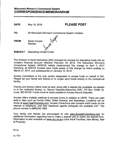| DATE:        | May 18, 2018                                      | <b>PLEASE POST</b> |
|--------------|---------------------------------------------------|--------------------|
| TO:          | All Wisconsin Women's Correctional System Inmates |                    |
| <b>FROM:</b> | Sarah Cooper<br>Warden                            |                    |
| SUBJECT:     | <b>Depositing Inmate Funds</b>                    |                    |

The Division of Adult Institutions (DAI) changed its process for depositing funds into an inmate's financial account effective February 19, 2018. The Wisconsin Women's Correctional System (WWCS) initially implemented this change on April 3, 2017 therefore; all WWCS inmates were made aware of this change by memo posting on March 27, 2017, and subsequently on January 12, 2018.

Access Corrections is the only vendor designated to accept funds on behalf of DAI. Please tell your family and friends to no longer send funds directly to the correctional facility.

Checks and money orders must be sent, along with a deposit slip (available via website or in the institution library), to: Secure Deposits-Wisconsin DOC, PO Box 12486; St. Louis, MO 63132. Funds must be made payable to Access Secure Deposits.

Access offers multiple methods to process funds in addition to USPS. There are cash walk-in sites such as Family Dollar, Dollar General, and Speedway. Locations can be found at www.CashPaytoday.com. Access Corrections also accepts credit cards via the internet or telephone, and their telephone agents (bilingual) are available 24/7. The phone number is (866)345-1884

Your family and friends are encouraged to visit www.AccessCorrections.com for additional information regarding how to make a deposit and to obtain the deposit form. Information is also available on www.doc.wi.gov (click Adult Facilities, then Money, Mail & Property).

 $SC:kr$ 

cc: File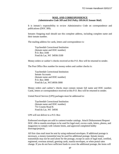## **MAIL AND CORRESPONDENCE** (*Administrative Code 309 and DAI Policy 309.04.01 Inmate Mail*)

~~~~~~~~~~~~~~~~~~~~~~~~~~~~~~~~~~~~~~~~~~~~~~~~~~~~~~~~~~~~~~~~~~

It is inmate's responsibility to review Administrative Code on correspondence and publications (DOC 309).

Inmates Outgoing mail should use this complete address, including complete name and their inmate number.

The mailing address for cards, letters and correspondence is:

Taycheedah Correctional Institution (Inmate name and DOC number) P.O. Box 3100 Fond du Lac, WI 54936-3100

Money orders or cashier's checks received at this P.O. Box will be returned to sender.

The Post Office Box number for money orders and cashier checks is:

Taycheedah Correctional Institution Inmate Accounts (Inmate name and DOC number) P.O. Box 3000 Fond du Lac, WI 54936-3000

Money orders and cashier's checks must contain inmate full name and DOC number. Cards, letters or correspondence received at this P.O. Box will be returned to sender.

United Parcel Service (UPS) packages must be addressed to:

Taycheedah Correctional Institution (Inmate name and DOC number) 751 County Road K Fond du Lac, WI 54936

UPS will not deliver to a P.O. Box

Embossed envelopes are sold in canteen/vendor catalogs. Attach Disbursement Request DOC-184 to manila envelopes to be used for legal mail, excess cards, letters, photos, and magazines to comply with volume limits, and approved completed hobby drawings/projects.

All first class mail must be sent by using embossed envelopes. If additional postage is necessary, a money transmittal may be used for additional postage. Inmate money transmittals may not be used alone for the postage, except in cases of legal mail, certified, registered, overseas airmail, greeting cards, manila envelopes, or when postal rates change. If you do not have sufficient funds to cover the additional postage, the items will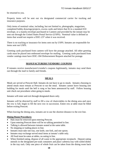be returned to you.

Property items will be sent out via designated commercial carrier for tracking and insurance purposes.

Only items of nominal value, including, but not limited to, photographs, magazines, completed hobby drawings/projects, excess cards and letters that fit in a standard #10 envelope, or a manila envelope purchased in Canteen and provided by the inmate may be sent out through the United States Postal Service (USPS). Nominal value is defined as items that would not require a DOC-237 when it was received.

There is no tracking or insurance for items sent out by USPS. Inmates are responsible for items sent out USPS.

Greeting cards purchased from canteen will have the postage attached. All other greeting cards must be placed into embossed envelope for mailing. Greeting cards purchased from vendor catalogs must have DOC-184 Disbursement Request attached for postage.

#### ~~~~~~~~~~~~~~~~~~~~~~~~~~~~~~~~~~~~~~~~~~~~~~~~~~~~~~~~~~~~~~~~~~

#### **MANUFACTURERS'/VENDORS' COUPONS**

If inmates receive manufacturer's/vendor's coupons legitimately, inmates may send them out through the mail to family and friends.

~~~~~~~~~~~~~~~~~~~~~~~~~~~~~~~~~~~~~~~~~~~~~~~~~~~~~~~~~~~~~~~~~~

## **MEALS**

Meals are served at Prescott Hall. Inmates do not have to go to meals. Inmates choosing to attend meals must remain at Prescott to eat the meal. Inmates cannot leave housing unit building for meals until the bell is rung or has been announced by staff. Follow housing unit check out procedures when going to meals.

Inmates will enter and exit through designated doors only.

Inmates will be directed by staff to fill a row of chairs/tables in the dining area and once the row is full, begin to fill the next row in succession. Entire row at table must be filled before exiting Prescott.

When leaving the dining area, inmates are to use the shortest distance to the exit line.

#### **Dining Room Procedures**

- Hats must be removed upon entering Prescott.
- Upon entering Prescott there will be no talking permitted in line.
- Talking is allowed between inmates seated at the same table.
- No skipping or trading places in line.
- Inmates must take one tray, one knife, one fork, and one spoon.
- Inmates may exchange served meal items at inmate's table only.
- All food must be eaten at tables, no eating in line.
- When finished eating, dispose of all waste in the appropriate receptacle. Deposit eating utensils in the designated pre-soak containers and place cafeteria tray with soiled dishes in the tray rack. Only one piece of whole fruit can be taken from the dining room back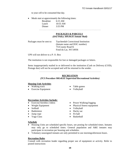to your cell to be consumed that day.

• Meals start at approximately the following times:

| <b>Breakfast</b> | $6:15 \text{ AM}$ |
|------------------|-------------------|
| Lunch            | $10:55$ AM        |
| Dinner           | $3:55$ PM         |

#### ~~~~~~~~~~~~~~~~~~~~~~~~~~~~~~~~~~~~~~~~~~~~~~~~~~~~~~~~~~~~~~~~~~

#### **PACKAGES & PARCELS** *(DAI Policy 309.04.01 Inmate Mail)*

Packages must be sent to: Taycheedah Correctional Institution (Inmate name and DOC number) 751County Road K Fond du Lac, WI 54936

UPS will not deliver to a P. O. Box

The institution is not responsible for lost or damaged packages or letters.

Items inappropriately mailed in or delivered to the institution (Cash on Delivery (COD), Postage due) will not be accepted and will be returned to the sender.

~~~~~~~~~~~~~~~~~~~~~~~~~~~~~~~~~~~~~~~~~~~~~~~~~~~~~~~~~~~~~~~~~~

#### **RECREATION**

*(TCI Procedure 900.40.01 Supervised Recreational Activities)*

#### **Housing Unit Activities**

- Walking track Table games
- Exercise Equipment Volleyball

#### **Recreation Activities Include:**

- Exercise/Aerobics videos Power Walking/Jogging
- 
- 
- Badminton Hacky sac
- Jump rope Fit ball
- Yoga Class Basketball
- 
- 
- 
- Weight Equipment Physical fitness equipment
- Softball Volleyball
	-
	-
	-

#### **Schedule**

- Housing Units are scheduled specific hours, see posting for scheduled times. Inmates may only go to scheduled times. General population and A&E inmates may participate in recreation per housing unit schedules.
- Voluntary unassigned inmates are only permitted to use morning/afternoon hours.

#### **Recreation Rules**

Consult with recreation leader regarding proper use of equipment or activity. Refer to posted instructions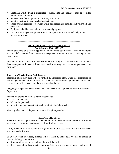- Coats/hats will be hung in designated location. Hats and sunglasses may be worn for outdoor recreation only.
- Inmates must check/sign in upon arriving at activity.
- Inmates must participate in scheduled activity.
- Shoes are not required to be worn while participating in outside sand volleyball and yoga class.
- Equipment shall be used only for its intended purpose.
- Do not use damaged equipment. Report damaged equipment immediately to the Recreation Leader.

~~~~~~~~~~~~~~~~~~~~~~~~~~~~~~~~~~~~~~~~~~~~~~~~~~~~~~~~~~~~~~~~~~

#### **RECREATIONAL TELEPHONE CALLS** *Administrative Code DOC 309*

Inmate telephone calls, except approved and authorized attorney calls, may be monitored and recorded. Contact the Corrections Management Services Director concerning attorney exemptions.

Telephones are available for inmate use in each housing unit. Prepaid calls can be made from these phones. Inmates will not be excused from programs or work assignments to use the phone.

#### **Emergency/Special Phone Call Requests**

Incoming emergency calls will be verified by institution staff. Once the information is verified, you will be notified of the call. If a return call is requested, you will be notified and arrangements will be made to assist you in making the call.

Outgoing Emergency/Special Telephone Calls need to be approved by Social Worker or a Supervisor.

Inmates are prohibited from using the telephone to:

- Call staff members.
- Make third party calls.
- Make threatening, harassing, illegal, or intimidating phone calls.

*Abuse of telephone privileges may result in disciplinary action.*

~~~~~~~~~~~~~~~~~~~~~~~~~~~~~~~~~~~~~~~~~~~~~~~~~~~~~~~~~~~~~~~~~~

## **RELEASE FROM TCI**

When leaving TCI upon release to the community, inmates will be expected to turn in all state property including handbooks to unit staff prior to release.

Notify Social Worker of person picking up on date of release or if a bus ticket is needed and to what destination.

60-90 days prior to release, inmates will be asked by unit Social Worker of choice of release clothing. Options are:

- If inmates have personal clothing, these will be utilized.
- If no personal clothes, inmates can arrange to have a relative or friend mail a set of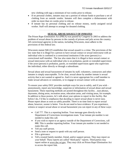new clothing with tags a minimum of two weeks prior to release.

- If no personal clothes, inmates may use a portion of release funds to purchase a set of clothing from an outside vendor. Inmates will then complete a disbursement with order no more than six weeks prior to release.
- If inmate has no personal clothing and no release money, notify assigned social worker. Staff will attempt to arrange for donated clothing.

#### ~~~~~~~~~~~~~~~~~~~~~~~~~~~~~~~~~~~~~~~~~~~~~~~~~~~~~~~~~~~~~~~~~~

#### **SEXUAL ABUSE/ASSAULT OF INMATES**

The Prison Rape Elimination Act (PREA) was passed by Congress in 2003 to address the problem of sexual abuse by persons in the custody of prisons and jails across the country. All correctional agencies in the nation, including Wisconsin, must adhere to the provisions of this federal law.

Wisconsin statute 940.225 establishes that sexual assault is a crime. The provisions of the law state that it is illegal for a person to have sexual contact or sexual intercourse with an individual who is confined in a correctional institution if the actor (person) is a correctional staff member. The law also states that it is illegal to have sexual contact or sexual intercourse with an individual who is on probation, parole or extended supervision if the actor (person) is probation, parole, or extended supervision agent who supervises the individual, either directly or through a subordinate.

Sexual abuse and sexual harassment of inmates by staff, volunteers, contractors and other inmates is simply unacceptable. To be clear, sexual abuse by another inmate is sexual activity that is not wanted or agreed to. And it is never appropriate for a staff member to make sexual advances or comments, or to engage in sexual contact with an inmate.

To ensure your safety DOC provides multiple ways for you to safely, and if you wish – anonymously, report any knowledge, suspicion or information of sexual abuse and sexual harassment. These reporting methods are posted throughout this facility... near phones, dayrooms, dining areas, recreation areas, education areas, and visiting areas, for example. In addition to these posters, let's talk about your options to report in this facility. But before I do, I'd like to emphasize that deciding to report sexual abuse is never easy. Please report abuse as soon as safely possible. There is no time limit to report sexual abuse, however, sooner is better. You do not need to have evidence. If you experience, witness or suspect sexual abuse or sexual harassment you can report in any of these ways:

- Call 777. This is a reporting hotline. Your message goes directly to the Department of Corrections investigations team. Your inmate pin number is not needed to make this call.
- If you wish to report to an agency outside of the Department of Corrections, call 888. This is another reporting hotline. Your inmate pin number is not needed to make this call.
- Tell any staff person.
- Send a note or request to speak with any staff person.
- File a grievance.
- Tell a trusted family member, friend, and/or support person. They may report on your behalf. These reports are called "third-party" reports. Third parties may report online at [www.doc.wi.gov.](http://www.doc.wi.gov/) They may click on Prison Rape Elimination Act to access the report link.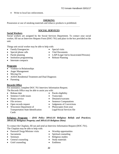Write to local law enforcement.

~~~~~~~~~~~~~~~~~~~~~~~~~~~~~~~~~~~~~~~~~~~~~~~~~~~~~~~~~~~~~~~~~~

## **SMOKING**

Possession or use of smoking materials and tobacco products is prohibited.

~~~~~~~~~~~~~~~~~~~~~~~~~~~~~~~~~~~~~~~~~~~~~~~~~~~~~~~~~~~~~~~~~~

## **SOCIAL SERVICES**

## **Social Workers**

Social workers are assigned by the Social Services Department. To contact your social worker, fill out an Interview Request Form (DOC-761) and place in the box provided on the unit.

Things unit social worker may be able to help with:

- Family Emergencies Special visits
- 
- Special phone calls Vital Documents
- Parole planning LAIP (Legal Aid to Incarcerated Persons)
- Institution programming Release Planning
- Interstate compacts

## **Programs**

- Violence in Relationships
- Anger Management
- Moving On
- AODA Residential Treatment and Dual Diagnosis
- Parenting

## **Records Office**

For assistance, complete DOC-761 Interview Information Request. The Records Office may be able to assist you with:

- 
- Sentence Credit issues **Transcripts**
- 
- 
- 
- Wisconsin Department of Transportation State Identification **Cards**
- Release date **Parole eligibility** 
	-
- Notary service **Detainers/warrants**
- File reviews Sentence Computations
- Open records request Judgments of Convictions
	- Photocopies from your Legal/Social Services file
- **Religious Programs** *– (DAI Policy 309.61.01 Religious Beliefs and Practices; 309.61.02 Religious Property; and 309.61.03 Religious Diets)*

To contact the Chaplain, fill out and send an Interview Information Request (DOC-761). The Chaplain may be able to help with:

- Pastoral/Clergy/Minister visits Worship opportunities
- 
- 
- General counseling Study materials
- Grief counseling Emblems
- 
- Sacraments Spiritual counseling
- Seminars Religious studies
	-
	-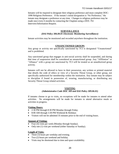Inmates will be required to designate their religious preference and must complete DOC-1090 Religious Preference. If the inmate's initial designation is "No Preference," the inmate may designate a preference at any time. Changes to religious preference may be made once every 6 months by contacting the Chaplain using a DOC-761 Interview/Information Request.

#### ~~~~~~~~~~~~~~~~~~~~~~~~~~~~~~~~~~~~~~~~~~~~~~~~~~~~~~~~~~~~~~~~~~

#### **SURVEILLANCE**

#### *(DAI Policy 306.00.01 Electronic Monitoring Surveillance)*

Inmate activities may be monitored and recorded anywhere throughout the institution.

~~~~~~~~~~~~~~~~~~~~~~~~~~~~~~~~~~~~~~~~~~~~~~~~~~~~~~~~~~~~~~~~~~

#### **UNSANCTIONED GROUPS**

Any group or activity not specifically sanctioned by TCI is designated "Unsanctioned" and is prohibited.

Any sanctioned group that engages in anti-social activity shall be suspended, and during that time of suspension shall be considered an unsanctioned group. Any "Affiliation" or "Alliance" with a group not sanctioned by TCI will be treated as an unauthorized group activity.

Inmates will not be allowed to have in their possession, any written or printed material that details the code of ethics or view of a Security Threat Group, or other group, not specifically authorized for membership within the institution. Any inmate may be subject to discipline if found in possession of, wearing, manufacturing, or distributing any Security Threat Group related activities.

~~~~~~~~~~~~~~~~~~~~~~~~~~~~~~~~~~~~~~~~~~~~~~~~~~~~~~~~~~~~~~~~~~

#### **VISITING**

#### *(Administrative Code DOC 309 and DAI Policy 309.06.01)*

If inmates choose to go to visits, no exceptions will be made for inmates to attend other activities. No arrangements will be made for inmates to attend alternative meals or activities in progress.

#### **Visiting Hours:**

- 2:30 PM through 8:30 PM Monday through Friday.
- 8:00 AM through 3:30 PM Weekend & Holidays
- Visitors will not be admitted 35 minutes prior to the end of visiting hours.

#### **Amount of Visiting:**

- Four (4) visits per week (Monday through Sunday).
- Only one (1) visit per weekend (either Saturday or Sunday).

#### **Length of Visits:**

- Three (3) hours per weekday and evening.
- Two (2) hours per weekend and holiday.
- Visits may be shortened due to time and space availability.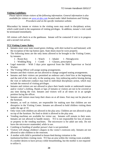## **Visiting Guidelines:**

*Please inform inmate visitors of the following information. General information is also available for visitors on [www.wi-doc.com](http://www.wi-doc.com/) located under Adult Institutions and Visiting Procedures and on the specific institution website.*

Misconduct by inmate or visitors in the visiting room may result in disciplinary action, which could result in the suspension of visiting privileges. In addition, inmate's visit could be terminated immediately.

All visitors will check in at the gatehouse. Inmate will be contacted if visit is in progress and a second visit arrives.

## **TCI Visiting Center Rules:**

- Inmates must wear state issued green clothing, with shirt tucked in and buttoned, with the exception of the top button open. State shoes must be worn properly.
- The following items are the only items allowed to be brought to the Visiting Center, by inmates:
	- 1 Room Key 1 Watch 1 Inhaler 1 Nitroglycerin
	- $1 -$  Wedding Ring  $1 -$  Comb  $1 -$  Glasses, prescription
- Legal materials With 3 days prior approval from the Shift Supervisor or Social Worker.
- The Visiting Officer will assign seating arrangements.
- Inmates and their visitors are not allowed to change assigned seating arrangements.
- Inmates and their visitors are permitted an embrace and a brief kiss at the beginning and the end of the visit only, in the seating area. Any embracing and/or kissing during the visit or indiscreet conduct may lead to individual disciplinary action, which may include the removal of visiting privileges.
- Inmates and visitors are not allowed to place their hands inside or underneath inmate and/or visitor's clothing. Hands or laps of inmates or visitors are not to be covered at any time during the visit. Inmates and visitors will at all times sit in an upright position facing the officer.
- Inmates and visitors must keep their shoes on at all times. Feet may not be placed on the furniture.
- Inmates, as well as visitors, are responsible for making sure that children are not disruptive in the Visiting Center. Inmates are allowed to hold children visiting them under the age of 10.
- Only visits with children are allowed in the play area. Children are not allowed to play on top of the furniture. No food or drink is allowed in the play area.
- Vending machines are available for visitor use. Inmates will remain in their seats. Inmates are not allowed to handle money. TCI is not responsible for loss of money or property in the vending machines. The microwave is for adult use only. Do not leave the microwave unattended, while in use.
- Combing or braiding of another person's hair is not permitted.
- Visitors will change children's diapers in the visitor's restroom only. Inmates are not allowed to take children to the restroom.
- A mother with child is permitted to breast-feed during visitation in the institution/facilities visiting room. TCI has an area within the visiting room available if a mother desires to have privacy while breastfeeding, but the mother is not required to utilize it.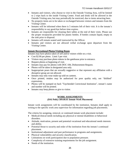- Inmates and visitors, who choose to visit in the Outside Visiting Area, will be limited to 2 trips back to the inside Visiting Center. Food and drink will be allowed in the Outside Visiting area, but may periodically be restricted, due to items attracting bees.
- No property items are to be taken or exchanged between visitors and inmates from the Visiting Center.
- Inmates will be informed when there is 5 minutes left of their visit. It is the inmate's responsibility to say good-bye before time expires.
- Inmates are responsible for cleaning their tables at the end of their visits. Please use the proper receptacles provided for plastic bottles. If bottles contain liquid, empty in the sink prior to disposal.
- Inmates will remain seated until instructed by the Officer.
- Inmates and visitors are not allowed verbal exchange upon departure from the Visiting Center.

## **Inmate Recreational Photos/Visiting Room**

Inmates may have photos taken of self and/or visitors while on a visit.

- Cost \$2.00 per photo. Limit 3 per visit.
- Visitors may purchase photo tokens in the gatehouse prior to entrance.
- Request photos at beginning of visit.
- Inmates may pay for photos with DOC-184, Disbursement Request.
- Photos will be taken in designated area only.
- Inappropriate poses that are sexually suggestive or that represent any affiliation with a disruptive group are not allowed.
- Inmates may only wear make-up sold on canteen.
- Once printed, retakes may be authorized for poor quality only, not "disliked" expressions.
- Photos will be stamped on back "Taycheedah Correctional Institution", inmate's name and number will be printed.
- Inmates may keep photos or give to visitor.

~~~~~~~~~~~~~~~~~~~~~~~~~~~~~~~~~~~~~~~~~~~~~~~~~~~~~~~~~~~~~~~~~~

#### **WORK ASSIGNMENTS** *(DAI Policy 309.00.01 Inmate Work Placement)*

Inmate work assignments will be coordinated by the institution. Inmates shall apply in writing to the specific work area supervisor for information regarding job placements.

The criteria for assigning, removal, or continued inmate work placement include:

- Medical/clinical needs including any physical or mental disabilities or behavioral disorders.
- Attitude, motivation, present and potential vocational and educational needs interests and ability.
- Potential threat to security and order of the institution from the inmate's continued placement.
- Institutional adjustment and past performance in programs and assignments.
- Physical vulnerability and security classification.
- Limitations on work participation due to population pressure.
- Complexity of extensive training requirements for the job assignment.
- Needs of the institution.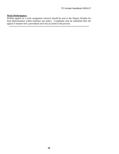## **Work Performance:**

Written appeal on a work assignment removal should be sent to the Deputy Warden for final determination within timelines per policy. Complaints may be submitted after the appeal if inmates feel a procedural error has occurred in the process.

**~~~~~~~~~~~~~~~~~~~~~~~~~~~~~~~~~~~~~~~~~~~~~~~~~~~~~~~~~~~~~~~~~~**

**26**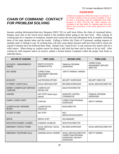#### *PLEASE NOTE:*

# *CHAIN OF COMMAND CONTACT FOR PROBLEM SOLVING*

Inmates are expected to follow the chain of command. If an inmate chooses to file an Inmate Complaint, it must be done in accordance with the established time limits pursuant to DOC 310.11(5) (d), which requires the complaint to be filed within 14 calendar days from the date of the occurrence of the event giving rise to the complaint.

Inmates sending Information/Interview Requests (DOC-761) to staff must follow the chain of command below. Inmates must start at the lowest level related to the problem before going to the next level. After waiting 10 working days for a response or resolution, inmates may contact the next and subsequent level as needed, informing them of the steps already taken and the results. Failing to follow this Chain of Command, sending requests to multiple staff, or failing to wait 10 working days will only cause delays because staff have been told to return the request if inmates have not followed these steps. Inmates may "jump levels" or ask someone else sooner only for a valid reason. When doing so, explain reason for doing it and what has been said or done so far by staff. After waiting for staff response and/or no resolve, submit a formal Inmate Complaint within the proper time limits as indicated above.

| <b>NATURE OF CONCERN</b>                           | <b>FIRST LEVEL</b>                                            | <b>SECOND LEVEL</b>                                                                                    | <b>THIRD LEVEL</b>                                            |
|----------------------------------------------------|---------------------------------------------------------------|--------------------------------------------------------------------------------------------------------|---------------------------------------------------------------|
| ACCOUNTS / DISBURSEMENTS/<br><b>ORDERS</b>         | <b>INMATE ACCOUNTS,</b><br><b>BUSINESS OFFICE</b>             | <b>FINANCIAL PROGRAM</b><br><b>SUPERVISOR</b>                                                          | CORRECTIONAL<br><b>MANAGEMENT SERVICES</b><br><b>DIRECTOR</b> |
| <b>ADA ISSUES</b>                                  | CORRECTIONAL<br><b>MANAGEMENT SERVICES</b><br><b>DIRECTOR</b> | DEPUTY WARDEN / WARDEN                                                                                 |                                                               |
| <b>ADVOCATE</b>                                    | DUE PROCESS OFFICER                                           | <b>SECURITY SUPERVISOR</b>                                                                             | <b>SECURITY DIRECTOR</b>                                      |
| ATTORNEY / COURT CALLS                             | SOCIAL SERVICES STAFF                                         | <b>RECORDS SUPERVISOR</b>                                                                              | SOCIAL SERVICES DIRECTOR                                      |
| <b>BARBER / COSMETOLOGY SERVICES</b><br>/ HAIRCARE | <b>COSMETOLOGY</b><br><b>INSTRUCTOR</b>                       | <b>EDUCATION DIRECTOR</b>                                                                              |                                                               |
| <b>CANTEEN</b>                                     | UNIT STAFF (before bag is<br>opened)                          | <b>INVENTORY CONTROL</b><br><b>COORDINATOR</b>                                                         | <b>FINANCIAL PROGRAM</b><br><b>SUPERVISOR</b>                 |
| CHAPEL / CLERGY VISITS                             | <b>CHAPLAIN</b>                                               | <b>CORRECTIONS PROGRAM</b><br><b>SUPERVISOR</b>                                                        | <b>DEPUTY WARDEN</b>                                          |
| <b>CLASSIFICATION / PROGRAM</b><br><b>REVIEW</b>   | <b>CLASSIFICATION</b><br><b>SPECIALIST</b>                    | <b>BOCM DIRECTOR</b>                                                                                   |                                                               |
| <b>ACCESS TO CARE</b>                              | <b>ANY STAFF</b>                                              | HSU/<br>DENTAL/PSYCHOLOGISTS                                                                           |                                                               |
| <b>DENTAL</b>                                      | <b>DENTAL STAFF</b>                                           | <b>HSU MANAGER</b>                                                                                     |                                                               |
| <b>EDUCATION COURSES / CLASSES</b>                 | <b>GUIDANCE COUSELOR</b>                                      | <b>EDUCATION DIRECTOR</b>                                                                              |                                                               |
| <b>EMERGENCY CONTACT FORMS</b>                     | SOCIAL SERVICES / SOCIAL<br><b>WORKER</b>                     | <b>RECORDS SUPERVISOR</b>                                                                              | SOCIAL SERVICES DIRECTOR                                      |
| <b>EMERGENCY TELEPHONE CALLS</b>                   | ASSIGNED SOCIAL WORKER                                        | SOCIAL SERVICES DIRECTOR /<br><b>CORRECTIONS PROGRAM</b><br>SUPERVISOR / SECURITY<br><b>SUPERVISOR</b> | <b>DEPUTY WARDEN</b>                                          |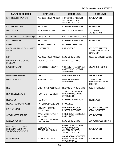| <b>NATURE OF CONCERN</b>                                                        | <b>FIRST LEVEL</b>                       | <b>SECOND LEVEL</b>                                                                                | <b>THIRD LEVEL</b>                                                       |
|---------------------------------------------------------------------------------|------------------------------------------|----------------------------------------------------------------------------------------------------|--------------------------------------------------------------------------|
| EXTENDED / SPECIAL VISITS                                                       | ASSIGNED SOCIAL WORKER                   | <b>CORRECTIONS PROGRAM</b><br>SUPERVISOR / SOCIAL<br><b>SERVICES DIRECTOR</b>                      | <b>DEPUTY WARDEN</b>                                                     |
| EYE CARE (OPTICAL)                                                              | <b>HSU STAFF</b>                         | HSU ASSISTANT MANAGER                                                                              | <b>HSU MANAGER</b>                                                       |
| <b>FOOD SERVICE</b>                                                             | <b>FOOD SERVICE STAFF</b>                | <b>FOOD SERVICE MANAGER</b>                                                                        | <b>FOOD SERVICE</b><br><b>ADMINISTRATOR</b>                              |
| HAIRCUT (only RHU and MSMU Wing 1)                                              | UNIT SERGEANT                            | <b>COSMETOLOGY INSTRUCTOR</b>                                                                      |                                                                          |
| <b>HEALTH SERVICES</b>                                                          | <b>HSU STAFF</b>                         | HSU ASSISTANT MANAGER                                                                              | <b>HSU MANAGER</b>                                                       |
| <b>HOBBY</b>                                                                    | PROPERTY SERGEANT                        | PROPERTY SUPERVISOR                                                                                |                                                                          |
| <b>HOUSING UNIT PROBLEM / SECURITY</b><br><b>ISSUES</b>                         | <b>UNIT OFFICER</b>                      | <b>UNIT SERGEANT</b>                                                                               | SECURITY SUPERVISOR /<br><b>CORRECTIONS PROGRAM</b><br><b>SUPERVISOR</b> |
| LAIP                                                                            | ASSIGNED SOCIAL WORKER                   | <b>RECORDS SUPERVISOR</b>                                                                          | SOCIAL SERVICES DIRECTOR                                                 |
| LAUNDRY / STATE CLOTHING<br><b>EXCHANGE</b>                                     | <b>LAUNDRY OFFICER</b>                   | <b>SECURITY SUPERVISOR</b>                                                                         |                                                                          |
| LAW LIBRARY (UNIT)                                                              | UNIT OFFICER/SERGEANT                    | UNIT SECURITY SUPERVISOR /<br><b>CORRECTIONS PROGRAM</b><br><b>SUPERVISOR</b>                      | <b>EDUCATION DIRECTOR</b>                                                |
| LAW LIBRARY / LIBRARY                                                           | <b>LIBRARIAN</b>                         | <b>EDUCATION DIRECTOR</b>                                                                          | <b>DEPUTY WARDEN</b>                                                     |
| LEGAL SUPPLIES                                                                  | <b>INMATE ACCOUNTS</b>                   | <b>FINANCIAL PROGRAM</b><br><b>SUPERVISOR</b>                                                      | CORRECTIONAL<br><b>MANAGEMENT SERVICES</b><br><b>DIRECTOR</b>            |
| <b>MAIL</b>                                                                     | MAIL/PROPERTY SERGEANT                   | MAIL/PROPERTY SUPERVISOR                                                                           | <b>SECURITY DIRECTOR</b>                                                 |
| <b>MAINTENANCE REPAIRS</b>                                                      | <b>HOUSING UNIT SERGEANT</b>             | <b>CORRECTIONS PROGRAM</b><br>SUPERVISOR / SECURITY<br><b>SUPERVISORS</b>                          |                                                                          |
| <b>MEDICATION</b>                                                               | <b>HSU STAFF</b>                         | HSU ASSISTANT MANAGER                                                                              | <b>HSU MANAGER</b>                                                       |
| MEDICAL / DENTAL COPAYMENT                                                      | HSU ASSISTANT MANAGER                    | <b>HSU MANAGER</b>                                                                                 |                                                                          |
| NOTARY SERVICE                                                                  | LIBRARIAN / RECORDS<br>OFFICE STAFF      | EDUCATION DIRECTOR /<br><b>RECORDS SUPERVISOR</b>                                                  | DEPUTY WARDEN/SOCIAL<br><b>SERVICES DIRECTOR</b>                         |
| OPEN RECORDS REQUEST                                                            | RECORDS SUPERVISOR /<br><b>HSU STAFF</b> | SOCIAL SERVICES DIRECTOR /<br><b>HSU MANAGER</b>                                                   | <b>DEPUTY WARDEN</b>                                                     |
| PAROLE QUESTIONS                                                                | SOCIALWORKER / RECORDS<br>OFFICE STAFF   | RECORDS SUPERVISOR                                                                                 | SOCIAL SERVICES DIRECTOR                                                 |
| PERSONAL SAFETY / SPN /<br>PROTECTIVE CUSTODY /<br><b>VOLUNTARY CONFINEMENT</b> | SOCIAL WORKER /<br>SECURITY SUPERVISOR   | <b>CORRECTIONS PROGRAM</b><br>SUPERVISOR/SOCIAL<br>SERVICES DIRECTOR /<br><b>SECURITY DIRECTOR</b> | <b>DEPUTY WARDEN</b>                                                     |
| <b>PROGRAMMING</b>                                                              | SOCIAL WORKER/ PSU                       | SOCIAL SERVICES DIRECTOR /<br>CORRECTIONS PROGRAM<br>SUPERVISOR / PSU                              | <b>DEPUTY WARDEN</b>                                                     |